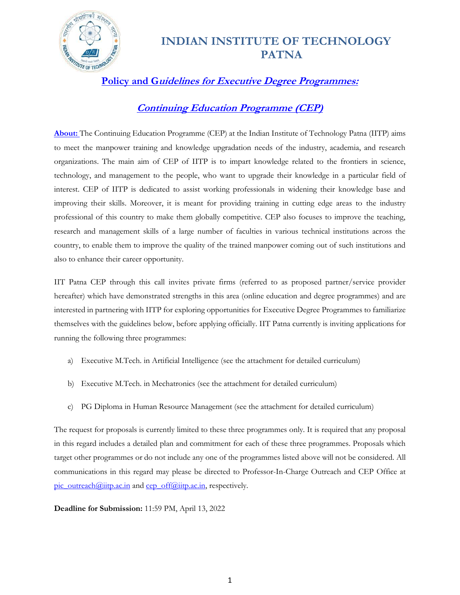

**Policy and Guidelines for Executive Degree Programmes:** 

#### **Continuing Education Programme (CEP)**

**About:** The Continuing Education Programme (CEP) at the Indian Institute of Technology Patna (IITP) aims to meet the manpower training and knowledge upgradation needs of the industry, academia, and research organizations. The main aim of CEP of IITP is to impart knowledge related to the frontiers in science, technology, and management to the people, who want to upgrade their knowledge in a particular field of interest. CEP of IITP is dedicated to assist working professionals in widening their knowledge base and improving their skills. Moreover, it is meant for providing training in cutting edge areas to the industry professional of this country to make them globally competitive. CEP also focuses to improve the teaching, research and management skills of a large number of faculties in various technical institutions across the country, to enable them to improve the quality of the trained manpower coming out of such institutions and also to enhance their career opportunity.

IIT Patna CEP through this call invites private firms (referred to as proposed partner/service provider hereafter) which have demonstrated strengths in this area (online education and degree programmes) and are interested in partnering with IITP for exploring opportunities for Executive Degree Programmes to familiarize themselves with the guidelines below, before applying officially. IIT Patna currently is inviting applications for running the following three programmes:

- a) Executive M.Tech. in Artificial Intelligence (see the attachment for detailed curriculum)
- b) Executive M.Tech. in Mechatronics (see the attachment for detailed curriculum)
- c) PG Diploma in Human Resource Management (see the attachment for detailed curriculum)

The request for proposals is currently limited to these three programmes only. It is required that any proposal in this regard includes a detailed plan and commitment for each of these three programmes. Proposals which target other programmes or do not include any one of the programmes listed above will not be considered. All communications in this regard may please be directed to Professor-In-Charge Outreach and CEP Office at [pic\\_outreach@iitp.ac.in](mailto:pic_outreach@iitp.ac.in) and [cep\\_off@iitp.ac.in,](mailto:cep_off@iitp.ac.in) respectively.

#### **Deadline for Submission:** 11:59 PM, April 13, 2022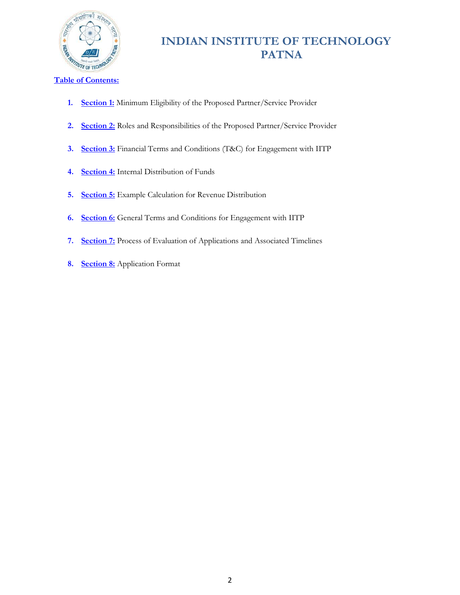

- **1. Section 1:** Minimum Eligibility of the Proposed Partner/Service Provider
- **2. Section 2:** Roles and Responsibilities of the Proposed Partner/Service Provider
- **3. Section 3:** Financial Terms and Conditions (T&C) for Engagement with IITP
- **4. Section 4:** Internal Distribution of Funds
- **5. Section 5:** Example Calculation for Revenue Distribution
- **6. Section 6:** General Terms and Conditions for Engagement with IITP
- **7. Section 7:** Process of Evaluation of Applications and Associated Timelines
- **8. Section 8:** Application Format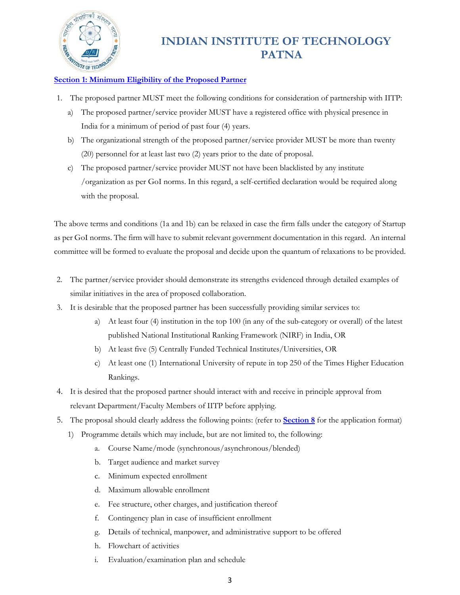

#### **Section 1: Minimum Eligibility of the Proposed Partner**

- 1. The proposed partner MUST meet the following conditions for consideration of partnership with IITP:
	- a) The proposed partner/service provider MUST have a registered office with physical presence in India for a minimum of period of past four (4) years.
	- b) The organizational strength of the proposed partner/service provider MUST be more than twenty (20) personnel for at least last two (2) years prior to the date of proposal.
	- c) The proposed partner/service provider MUST not have been blacklisted by any institute /organization as per GoI norms. In this regard, a self-certified declaration would be required along with the proposal.

The above terms and conditions (1a and 1b) can be relaxed in case the firm falls under the category of Startup as per GoI norms. The firm will have to submit relevant government documentation in this regard. An internal committee will be formed to evaluate the proposal and decide upon the quantum of relaxations to be provided.

- 2. The partner/service provider should demonstrate its strengths evidenced through detailed examples of similar initiatives in the area of proposed collaboration.
- 3. It is desirable that the proposed partner has been successfully providing similar services to:
	- a) At least four (4) institution in the top 100 (in any of the sub-category or overall) of the latest published National Institutional Ranking Framework (NIRF) in India, OR
	- b) At least five (5) Centrally Funded Technical Institutes/Universities, OR
	- c) At least one (1) International University of repute in top 250 of the Times Higher Education Rankings.
- 4. It is desired that the proposed partner should interact with and receive in principle approval from relevant Department/Faculty Members of IITP before applying.
- 5. The proposal should clearly address the following points: (refer to **Section 8** for the application format)
	- 1) Programme details which may include, but are not limited to, the following:
		- a. Course Name/mode (synchronous/asynchronous/blended)
		- b. Target audience and market survey
		- c. Minimum expected enrollment
		- d. Maximum allowable enrollment
		- e. Fee structure, other charges, and justification thereof
		- f. Contingency plan in case of insufficient enrollment
		- g. Details of technical, manpower, and administrative support to be offered
		- h. Flowchart of activities
		- i. Evaluation/examination plan and schedule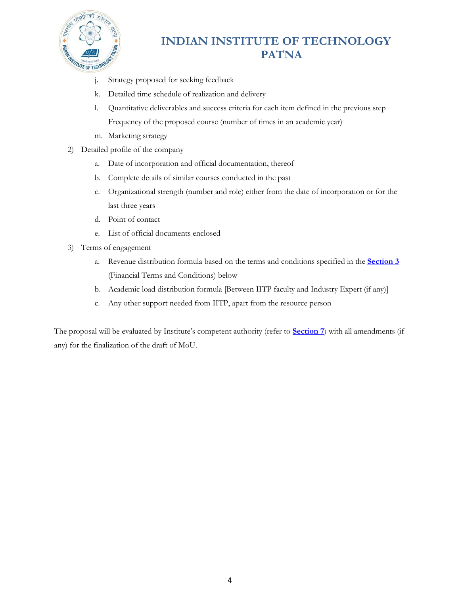

- j. Strategy proposed for seeking feedback
- k. Detailed time schedule of realization and delivery
- l. Quantitative deliverables and success criteria for each item defined in the previous step Frequency of the proposed course (number of times in an academic year)
- m. Marketing strategy
- 2) Detailed profile of the company
	- a. Date of incorporation and official documentation, thereof
	- b. Complete details of similar courses conducted in the past
	- c. Organizational strength (number and role) either from the date of incorporation or for the last three years
	- d. Point of contact
	- e. List of official documents enclosed
- 3) Terms of engagement
	- a. Revenue distribution formula based on the terms and conditions specified in the **Section 3** (Financial Terms and Conditions) below
	- b. Academic load distribution formula [Between IITP faculty and Industry Expert (if any)]
	- c. Any other support needed from IITP, apart from the resource person

The proposal will be evaluated by Institute's competent authority (refer to **Section 7**) with all amendments (if any) for the finalization of the draft of MoU.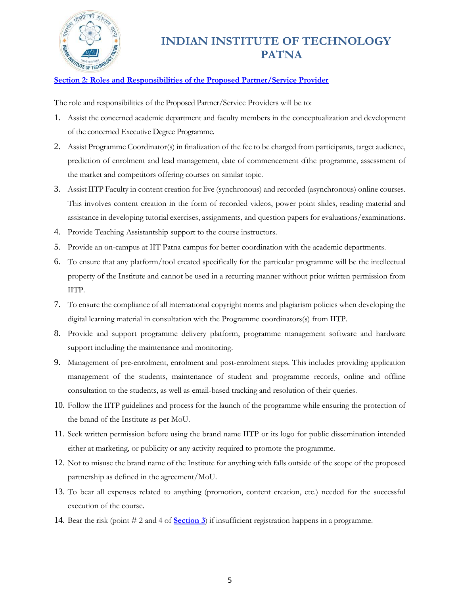

#### **Section 2: Roles and Responsibilities of the Proposed Partner/Service Provider**

The role and responsibilities of the Proposed Partner/Service Providers will be to:

- 1. Assist the concerned academic department and faculty members in the conceptualization and development of the concerned Executive Degree Programme.
- 2. Assist Programme Coordinator(s) in finalization of the fee to be charged from participants, target audience, prediction of enrolment and lead management, date of commencement ofthe programme, assessment of the market and competitors offering courses on similar topic.
- 3. Assist IITP Faculty in content creation for live (synchronous) and recorded (asynchronous) online courses. This involves content creation in the form of recorded videos, power point slides, reading material and assistance in developing tutorial exercises, assignments, and question papers for evaluations/examinations.
- 4. Provide Teaching Assistantship support to the course instructors.
- 5. Provide an on-campus at IIT Patna campus for better coordination with the academic departments.
- 6. To ensure that any platform/tool created specifically for the particular programme will be the intellectual property of the Institute and cannot be used in a recurring manner without prior written permission from IITP.
- 7. To ensure the compliance of all international copyright norms and plagiarism policies when developing the digital learning material in consultation with the Programme coordinators(s) from IITP.
- 8. Provide and support programme delivery platform, programme management software and hardware support including the maintenance and monitoring.
- 9. Management of pre-enrolment, enrolment and post-enrolment steps. This includes providing application management of the students, maintenance of student and programme records, online and offline consultation to the students, as well as email-based tracking and resolution of their queries.
- 10. Follow the IITP guidelines and process for the launch of the programme while ensuring the protection of the brand of the Institute as per MoU.
- 11. Seek written permission before using the brand name IITP or its logo for public dissemination intended either at marketing, or publicity or any activity required to promote the programme.
- 12. Not to misuse the brand name of the Institute for anything with falls outside of the scope of the proposed partnership as defined in the agreement/MoU.
- 13. To bear all expenses related to anything (promotion, content creation, etc.) needed for the successful execution of the course.
- 14. Bear the risk (point # 2 and 4 of **Section 3**) if insufficient registration happens in a programme.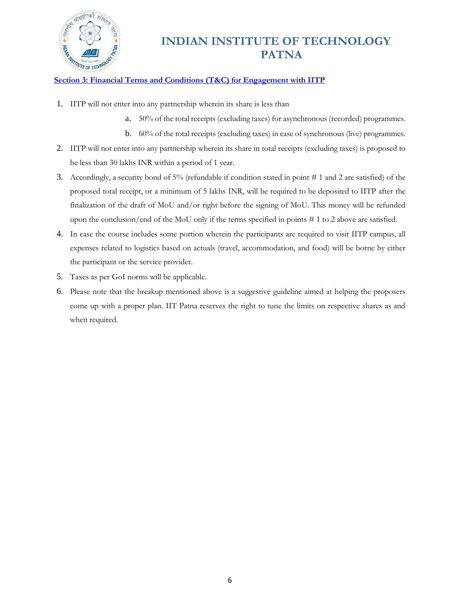

#### **Section 3: Financial Terms and Conditions (T&C) for Engagement with IITP**

- 1. IITP will not enter into any partnership wherein its share is less than
	- a. 50% of the total receipts (excluding taxes) for asynchronous (recorded) programmes.
	- b. 60% of the total receipts (excluding taxes) in case of synchronous (live) programmes.
- 2. IITP will not enter into any partnership wherein its share in total receipts (excluding taxes) is proposed to be less than 30 lakhs INR within a period of 1 year.
- 3. Accordingly, a security bond of 5% (refundable if condition stated in point # 1 and 2 are satisfied) of the proposed total receipt, or a minimum of 5 lakhs INR, will be required to be deposited to IITP after the finalization of the draft of MoU and/or right before the signing of MoU. This money will be refunded upon the conclusion/end of the MoU only if the terms specified in points # 1 to 2 above are satisfied.
- 4. In case the course includes some portion wherein the participants are required to visit IITP campus, all expenses related to logistics based on actuals (travel, accommodation, and food) will be borne by either the participant or the service provider.
- 5. Taxes as per GoI norms will be applicable.
- 6. Please note that the breakup mentioned above is a suggestive guideline aimed at helping the proposers come up with a proper plan. IIT Patna reserves the right to tune the limits on respective shares as and when required.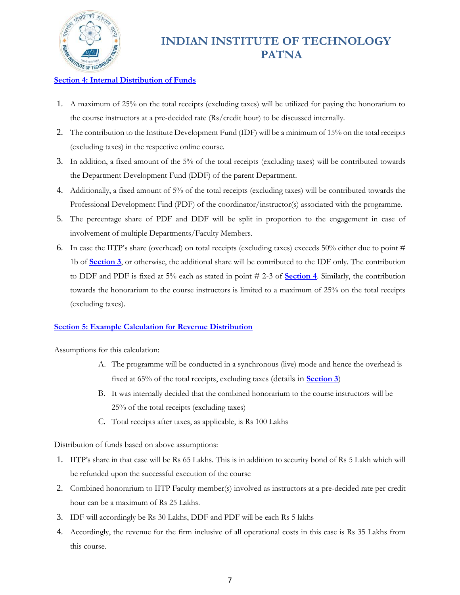

#### **Section 4: Internal Distribution of Funds**

- 1. A maximum of 25% on the total receipts (excluding taxes) will be utilized for paying the honorarium to the course instructors at a pre-decided rate (Rs/credit hour) to be discussed internally.
- 2. The contribution to the Institute Development Fund (IDF) will be a minimum of 15% on the total receipts (excluding taxes) in the respective online course.
- 3. In addition, a fixed amount of the 5% of the total receipts (excluding taxes) will be contributed towards the Department Development Fund (DDF) of the parent Department.
- 4. Additionally, a fixed amount of 5% of the total receipts (excluding taxes) will be contributed towards the Professional Development Find (PDF) of the coordinator/instructor(s) associated with the programme.
- 5. The percentage share of PDF and DDF will be split in proportion to the engagement in case of involvement of multiple Departments/Faculty Members.
- 6. In case the IITP's share (overhead) on total receipts (excluding taxes) exceeds 50% either due to point # 1b of **Section 3**, or otherwise, the additional share will be contributed to the IDF only. The contribution to DDF and PDF is fixed at 5% each as stated in point # 2-3 of **Section 4**. Similarly, the contribution towards the honorarium to the course instructors is limited to a maximum of 25% on the total receipts (excluding taxes).

#### **Section 5: Example Calculation for Revenue Distribution**

Assumptions for this calculation:

- A. The programme will be conducted in a synchronous (live) mode and hence the overhead is fixed at 65% of the total receipts, excluding taxes (details in **Section 3**)
- B. It was internally decided that the combined honorarium to the course instructors will be 25% of the total receipts (excluding taxes)
- C. Total receipts after taxes, as applicable, is Rs 100 Lakhs

Distribution of funds based on above assumptions:

- 1. IITP's share in that case will be Rs 65 Lakhs. This is in addition to security bond of Rs 5 Lakh which will be refunded upon the successful execution of the course
- 2. Combined honorarium to IITP Faculty member(s) involved as instructors at a pre-decided rate per credit hour can be a maximum of Rs 25 Lakhs.
- 3. IDF will accordingly be Rs 30 Lakhs, DDF and PDF will be each Rs 5 lakhs
- 4. Accordingly, the revenue for the firm inclusive of all operational costs in this case is Rs 35 Lakhs from this course.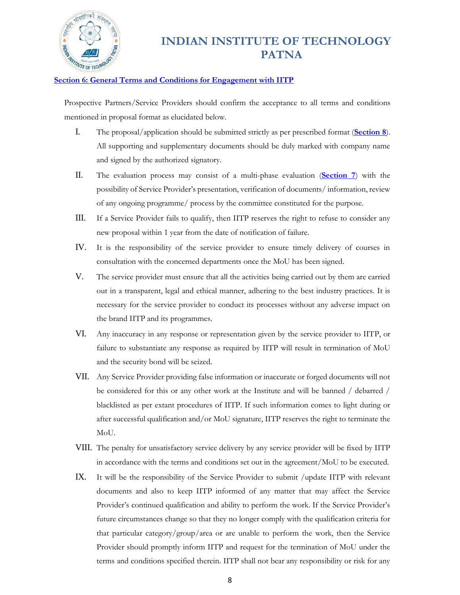

#### **Section 6: General Terms and Conditions for Engagement with IITP**

Prospective Partners/Service Providers should confirm the acceptance to all terms and conditions mentioned in proposal format as elucidated below.

- I. The proposal/application should be submitted strictly as per prescribed format (**Section 8**). All supporting and supplementary documents should be duly marked with company name and signed by the authorized signatory.
- II. The evaluation process may consist of a multi-phase evaluation (**Section 7**) with the possibility of Service Provider's presentation, verification of documents/ information, review of any ongoing programme/ process by the committee constituted for the purpose.
- III. If a Service Provider fails to qualify, then IITP reserves the right to refuse to consider any new proposal within 1 year from the date of notification of failure.
- IV. It is the responsibility of the service provider to ensure timely delivery of courses in consultation with the concerned departments once the MoU has been signed.
- V. The service provider must ensure that all the activities being carried out by them are carried out in a transparent, legal and ethical manner, adhering to the best industry practices. It is necessary for the service provider to conduct its processes without any adverse impact on the brand IITP and its programmes.
- VI. Any inaccuracy in any response or representation given by the service provider to IITP, or failure to substantiate any response as required by IITP will result in termination of MoU and the security bond will be seized.
- VII. Any Service Provider providing false information or inaccurate or forged documents will not be considered for this or any other work at the Institute and will be banned / debarred / blacklisted as per extant procedures of IITP. If such information comes to light during or after successful qualification and/or MoU signature, IITP reserves the right to terminate the MoU.
- VIII. The penalty for unsatisfactory service delivery by any service provider will be fixed by IITP in accordance with the terms and conditions set out in the agreement/MoU to be executed.
- IX. It will be the responsibility of the Service Provider to submit /update IITP with relevant documents and also to keep IITP informed of any matter that may affect the Service Provider's continued qualification and ability to perform the work. If the Service Provider's future circumstances change so that they no longer comply with the qualification criteria for that particular category/group/area or are unable to perform the work, then the Service Provider should promptly inform IITP and request for the termination of MoU under the terms and conditions specified therein. IITP shall not bear any responsibility or risk for any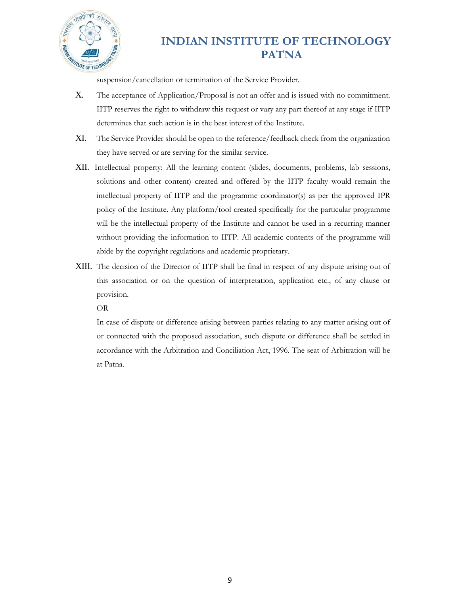

suspension/cancellation or termination of the Service Provider.

- X. The acceptance of Application/Proposal is not an offer and is issued with no commitment. IITP reserves the right to withdraw this request or vary any part thereof at any stage if IITP determines that such action is in the best interest of the Institute.
- XI. The Service Provider should be open to the reference/feedback check from the organization they have served or are serving for the similar service.
- XII. Intellectual property: All the learning content (slides, documents, problems, lab sessions, solutions and other content) created and offered by the IITP faculty would remain the intellectual property of IITP and the programme coordinator(s) as per the approved IPR policy of the Institute. Any platform/tool created specifically for the particular programme will be the intellectual property of the Institute and cannot be used in a recurring manner without providing the information to IITP. All academic contents of the programme will abide by the copyright regulations and academic proprietary.
- XIII. The decision of the Director of IITP shall be final in respect of any dispute arising out of this association or on the question of interpretation, application etc., of any clause or provision.

OR

In case of dispute or difference arising between parties relating to any matter arising out of or connected with the proposed association, such dispute or difference shall be settled in accordance with the Arbitration and Conciliation Act, 1996. The seat of Arbitration will be at Patna.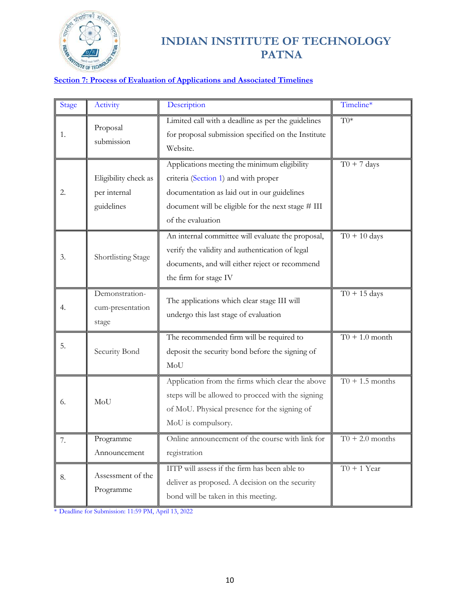

#### **Section 7: Process of Evaluation of Applications and Associated Timelines**

| <b>Stage</b> | Activity                                           | Description                                                                                                                                                                                                    | Timeline*                  |
|--------------|----------------------------------------------------|----------------------------------------------------------------------------------------------------------------------------------------------------------------------------------------------------------------|----------------------------|
| 1.           | Proposal<br>submission                             | Limited call with a deadline as per the guidelines<br>for proposal submission specified on the Institute<br>Website.                                                                                           | $\overline{\mathrm{T}0^*}$ |
| 2.           | Eligibility check as<br>per internal<br>guidelines | Applications meeting the minimum eligibility<br>criteria (Section 1) and with proper<br>documentation as laid out in our guidelines<br>document will be eligible for the next stage # III<br>of the evaluation | $T0 + 7$ days              |
| 3.           | Shortlisting Stage                                 | An internal committee will evaluate the proposal,<br>verify the validity and authentication of legal<br>documents, and will either reject or recommend<br>the firm for stage IV                                | $\overline{0} + 10$ days   |
| 4.           | Demonstration-<br>cum-presentation<br>stage        | The applications which clear stage III will<br>undergo this last stage of evaluation                                                                                                                           | $T0 + 15$ days             |
| 5.           | Security Bond                                      | The recommended firm will be required to<br>deposit the security bond before the signing of<br>MoU                                                                                                             | $T0 + 1.0$ month           |
| 6.           | MoU                                                | Application from the firms which clear the above<br>steps will be allowed to procced with the signing<br>of MoU. Physical presence for the signing of<br>MoU is compulsory.                                    | $T0 + 1.5$ months          |
| 7.           | Programme<br>Announcement                          | Online announcement of the course with link for<br>registration                                                                                                                                                | $T0 + 2.0$ months          |
| 8.           | Assessment of the<br>Programme                     | IITP will assess if the firm has been able to<br>deliver as proposed. A decision on the security<br>bond will be taken in this meeting.                                                                        | $\overline{TO} + 1$ Year   |

\* Deadline for Submission: 11:59 PM, April 13, 2022